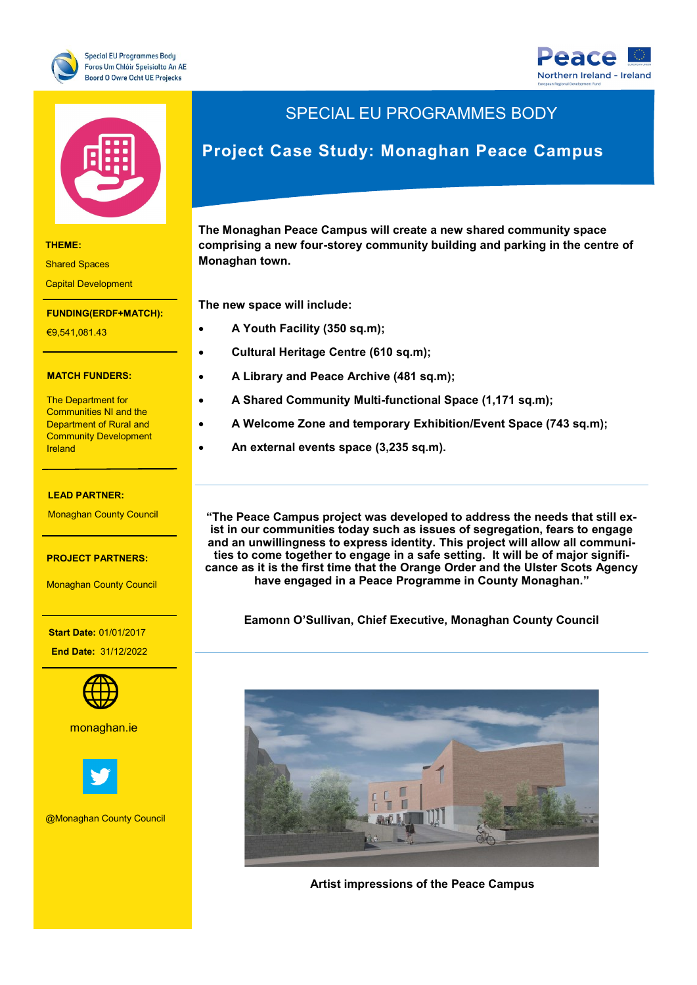





#### **THEME:**

Shared Spaces

Capital Development

**FUNDING(ERDF+MATCH):**

Research and Innovation

**THEME:** €9,541,081.43

### **MATCH FUNDERS:**

The Department for **The Department FUNDING:** Communities NI and the Department of Rural and Community Development Ireland

#### **LEAD PARTNER:**

Monaghan County Council

€7,727,271.20

#### - Ireland **PROJECT PARTNERS:**

Monaghan County Council

### **Start Date:** 01/01/2017  **End Date:** 31/12/2022

of Scotland (Scotland)



<mark>monaghan.ie</mark>



@Monaghan County Council

## SPECIAL EU PROGRAMMES BODY

# **Project Case Study: Monaghan Peace Campus**

**The Monaghan Peace Campus will create a new shared community space comprising a new four-storey community building and parking in the centre of Monaghan town.** 

**The new space will include:**

- **A Youth Facility (350 sq.m);**
- **Cultural Heritage Centre (610 sq.m);**
- **A Library and Peace Archive (481 sq.m);**
- **A Shared Community Multi-functional Space (1,171 sq.m);**
- **A Welcome Zone and temporary Exhibition/Event Space (743 sq.m);**
- **An external events space (3,235 sq.m).**

**"The Peace Campus project was developed to address the needs that still exist in our communities today such as issues of segregation, fears to engage and an unwillingness to express identity. This project will allow all communities to come together to engage in a safe setting. It will be of major significance as it is the first time that the Orange Order and the Ulster Scots Agency have engaged in a Peace Programme in County Monaghan."** 

**Eamonn O'Sullivan, Chief Executive, Monaghan County Council**



**Artist impressions of the Peace Campus**